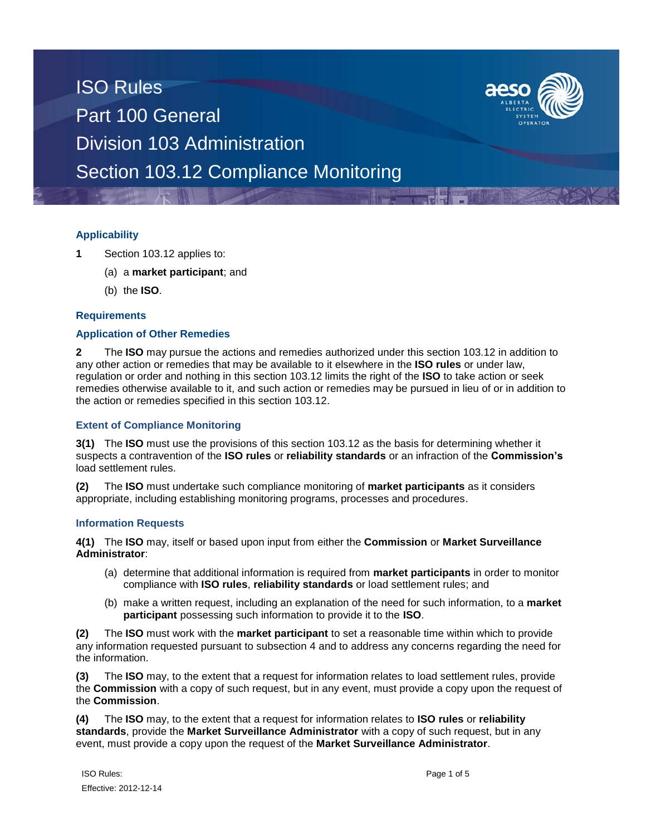

### **Applicability**

- **1** Section 103.12 applies to:
	- (a) a **market participant**; and
	- (b) the **ISO**.

### **Requirements**

### **Application of Other Remedies**

**2** The **ISO** may pursue the actions and remedies authorized under this section 103.12 in addition to any other action or remedies that may be available to it elsewhere in the **ISO rules** or under law, regulation or order and nothing in this section 103.12 limits the right of the **ISO** to take action or seek remedies otherwise available to it, and such action or remedies may be pursued in lieu of or in addition to the action or remedies specified in this section 103.12.

### **Extent of Compliance Monitoring**

**3(1)** The **ISO** must use the provisions of this section 103.12 as the basis for determining whether it suspects a contravention of the **ISO rules** or **reliability standards** or an infraction of the **Commission's** load settlement rules.

**(2)** The **ISO** must undertake such compliance monitoring of **market participants** as it considers appropriate, including establishing monitoring programs, processes and procedures.

#### **Information Requests**

**4(1)** The **ISO** may, itself or based upon input from either the **Commission** or **Market Surveillance Administrator**:

- (a) determine that additional information is required from **market participants** in order to monitor compliance with **ISO rules**, **reliability standards** or load settlement rules; and
- (b) make a written request, including an explanation of the need for such information, to a **market participant** possessing such information to provide it to the **ISO**.

**(2)** The **ISO** must work with the **market participant** to set a reasonable time within which to provide any information requested pursuant to subsection 4 and to address any concerns regarding the need for the information.

**(3)** The **ISO** may, to the extent that a request for information relates to load settlement rules, provide the **Commission** with a copy of such request, but in any event, must provide a copy upon the request of the **Commission**.

**(4)** The **ISO** may, to the extent that a request for information relates to **ISO rules** or **reliability standards**, provide the **Market Surveillance Administrator** with a copy of such request, but in any event, must provide a copy upon the request of the **Market Surveillance Administrator**.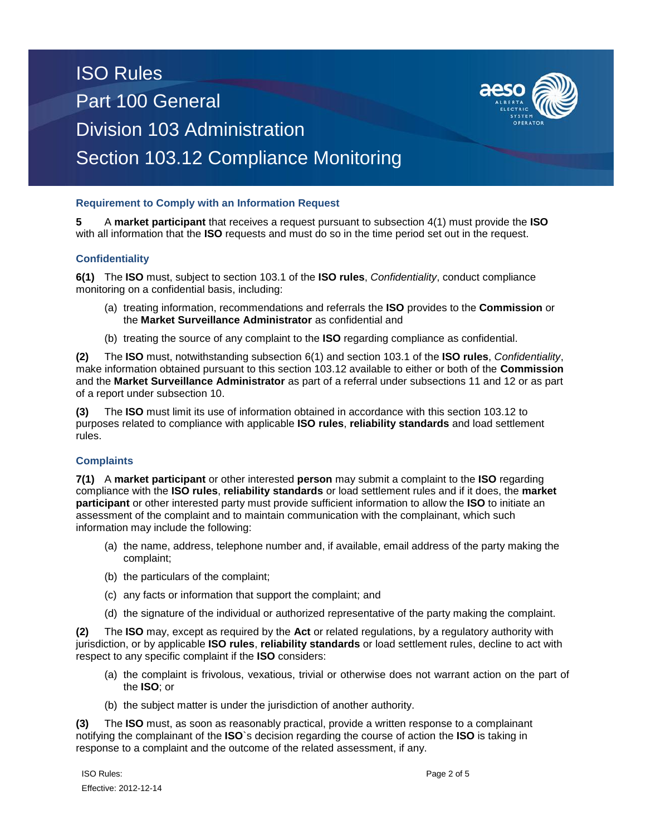

**5** A **market participant** that receives a request pursuant to subsection 4(1) must provide the **ISO**  with all information that the **ISO** requests and must do so in the time period set out in the request.

### **Confidentiality**

**6(1)** The **ISO** must, subject to section 103.1 of the **ISO rules**, *Confidentiality*, conduct compliance monitoring on a confidential basis, including:

- (a) treating information, recommendations and referrals the **ISO** provides to the **Commission** or the **Market Surveillance Administrator** as confidential and
- (b) treating the source of any complaint to the **ISO** regarding compliance as confidential.

**(2)** The **ISO** must, notwithstanding subsection 6(1) and section 103.1 of the **ISO rules**, *Confidentiality*, make information obtained pursuant to this section 103.12 available to either or both of the **Commission** and the **Market Surveillance Administrator** as part of a referral under subsections 11 and 12 or as part of a report under subsection 10.

**(3)** The **ISO** must limit its use of information obtained in accordance with this section 103.12 to purposes related to compliance with applicable **ISO rules**, **reliability standards** and load settlement rules.

### **Complaints**

**7(1)** A **market participant** or other interested **person** may submit a complaint to the **ISO** regarding compliance with the **ISO rules**, **reliability standards** or load settlement rules and if it does, the **market participant** or other interested party must provide sufficient information to allow the **ISO** to initiate an assessment of the complaint and to maintain communication with the complainant, which such information may include the following:

- (a) the name, address, telephone number and, if available, email address of the party making the complaint;
- (b) the particulars of the complaint;
- (c) any facts or information that support the complaint; and
- (d) the signature of the individual or authorized representative of the party making the complaint.

**(2)** The **ISO** may, except as required by the **Act** or related regulations, by a regulatory authority with jurisdiction, or by applicable **ISO rules**, **reliability standards** or load settlement rules, decline to act with respect to any specific complaint if the **ISO** considers:

- (a) the complaint is frivolous, vexatious, trivial or otherwise does not warrant action on the part of the **ISO**; or
- (b) the subject matter is under the jurisdiction of another authority.

**(3)** The **ISO** must, as soon as reasonably practical, provide a written response to a complainant notifying the complainant of the **ISO**`s decision regarding the course of action the **ISO** is taking in response to a complaint and the outcome of the related assessment, if any.

ISO Rules: Page 2 of 5 Effective: 2012-12-14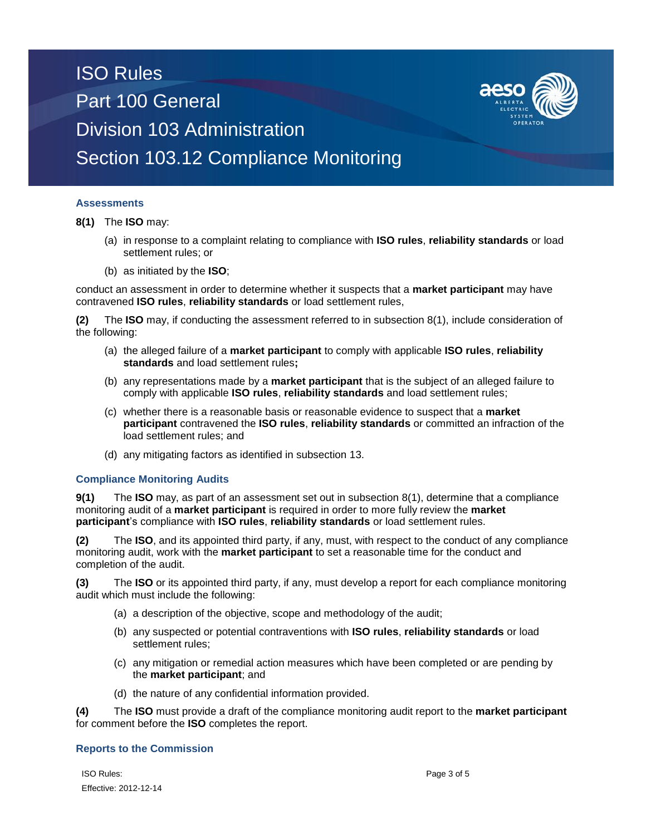### **Assessments**

**8(1)** The **ISO** may:

- (a) in response to a complaint relating to compliance with **ISO rules**, **reliability standards** or load settlement rules; or
- (b) as initiated by the **ISO**;

conduct an assessment in order to determine whether it suspects that a **market participant** may have contravened **ISO rules**, **reliability standards** or load settlement rules,

**(2)** The **ISO** may, if conducting the assessment referred to in subsection 8(1), include consideration of the following:

- (a) the alleged failure of a **market participant** to comply with applicable **ISO rules**, **reliability standards** and load settlement rules**;**
- (b) any representations made by a **market participant** that is the subject of an alleged failure to comply with applicable **ISO rules**, **reliability standards** and load settlement rules;
- (c) whether there is a reasonable basis or reasonable evidence to suspect that a **market participant** contravened the **ISO rules**, **reliability standards** or committed an infraction of the load settlement rules; and
- (d) any mitigating factors as identified in subsection 13.

### **Compliance Monitoring Audits**

**9(1)** The **ISO** may, as part of an assessment set out in subsection 8(1), determine that a compliance monitoring audit of a **market participant** is required in order to more fully review the **market participant**'s compliance with **ISO rules**, **reliability standards** or load settlement rules.

**(2)** The **ISO**, and its appointed third party, if any, must, with respect to the conduct of any compliance monitoring audit, work with the **market participant** to set a reasonable time for the conduct and completion of the audit.

**(3)** The **ISO** or its appointed third party, if any, must develop a report for each compliance monitoring audit which must include the following:

- (a) a description of the objective, scope and methodology of the audit;
- (b) any suspected or potential contraventions with **ISO rules**, **reliability standards** or load settlement rules;
- (c) any mitigation or remedial action measures which have been completed or are pending by the **market participant**; and
- (d) the nature of any confidential information provided.

**(4)** The **ISO** must provide a draft of the compliance monitoring audit report to the **market participant**  for comment before the **ISO** completes the report.

### **Reports to the Commission**

ISO Rules: Page 3 of 5 Effective: 2012-12-14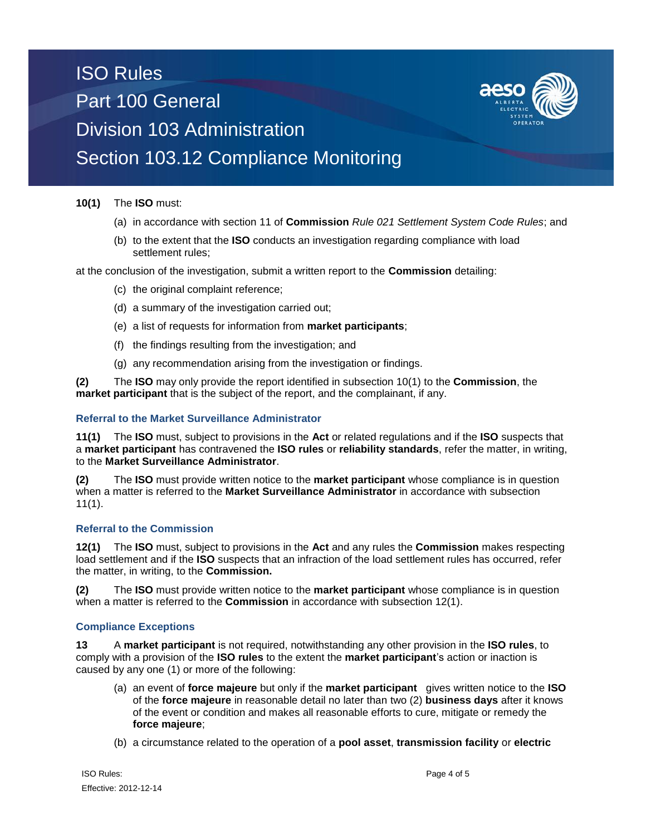

### **10(1)** The **ISO** must:

- (a) in accordance with section 11 of **Commission** *Rule 021 Settlement System Code Rules*; and
- (b) to the extent that the **ISO** conducts an investigation regarding compliance with load settlement rules;

at the conclusion of the investigation, submit a written report to the **Commission** detailing:

- (c) the original complaint reference;
- (d) a summary of the investigation carried out;
- (e) a list of requests for information from **market participants**;
- (f) the findings resulting from the investigation; and
- (g) any recommendation arising from the investigation or findings.

**(2)** The **ISO** may only provide the report identified in subsection 10(1) to the **Commission**, the **market participant** that is the subject of the report, and the complainant, if any.

#### **Referral to the Market Surveillance Administrator**

**11(1)** The **ISO** must, subject to provisions in the **Act** or related regulations and if the **ISO** suspects that a **market participant** has contravened the **ISO rules** or **reliability standards**, refer the matter, in writing, to the **Market Surveillance Administrator**.

**(2)** The **ISO** must provide written notice to the **market participant** whose compliance is in question when a matter is referred to the **Market Surveillance Administrator** in accordance with subsection  $11(1)$ .

### **Referral to the Commission**

**12(1)** The **ISO** must, subject to provisions in the **Act** and any rules the **Commission** makes respecting load settlement and if the **ISO** suspects that an infraction of the load settlement rules has occurred, refer the matter, in writing, to the **Commission.** 

**(2)** The **ISO** must provide written notice to the **market participant** whose compliance is in question when a matter is referred to the **Commission** in accordance with subsection 12(1).

### **Compliance Exceptions**

**13** A **market participant** is not required, notwithstanding any other provision in the **ISO rules**, to comply with a provision of the **ISO rules** to the extent the **market participant**'s action or inaction is caused by any one (1) or more of the following:

- (a) an event of **force majeure** but only if the **market participant** gives written notice to the **ISO**  of the **force majeure** in reasonable detail no later than two (2) **business days** after it knows of the event or condition and makes all reasonable efforts to cure, mitigate or remedy the **force majeure**;
- (b) a circumstance related to the operation of a **pool asset**, **transmission facility** or **electric**